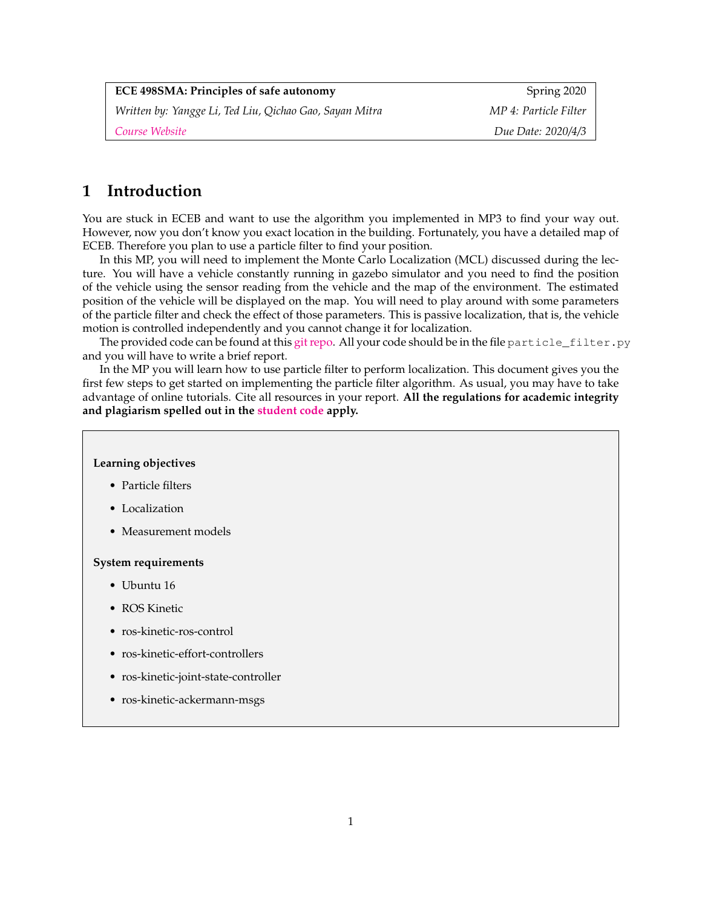| <b>ECE 498SMA: Principles of safe autonomy</b>          | Spring 2020           |
|---------------------------------------------------------|-----------------------|
| Written by: Yangge Li, Ted Liu, Qichao Gao, Sayan Mitra | MP 4: Particle Filter |
| Course Website                                          | Due Date: 2020/4/3    |

## **1 Introduction**

You are stuck in ECEB and want to use the algorithm you implemented in MP3 to find your way out. However, now you don't know you exact location in the building. Fortunately, you have a detailed map of ECEB. Therefore you plan to use a particle filter to find your position.

In this MP, you will need to implement the Monte Carlo Localization (MCL) discussed during the lecture. You will have a vehicle constantly running in gazebo simulator and you need to find the position of the vehicle using the sensor reading from the vehicle and the map of the environment. The estimated position of the vehicle will be displayed on the map. You will need to play around with some parameters of the particle filter and check the effect of those parameters. This is passive localization, that is, the vehicle motion is controlled independently and you cannot change it for localization.

The provided code can be found at this [git repo.](https://gitlab.engr.illinois.edu/GolfCar/mp3-release-20sp.git) All your code should be in the file particle\_filter.py and you will have to write a brief report.

In the MP you will learn how to use particle filter to perform localization. This document gives you the first few steps to get started on implementing the particle filter algorithm. As usual, you may have to take advantage of online tutorials. Cite all resources in your report. **All the regulations for academic integrity and plagiarism spelled out in the [student code](https://studentcode.illinois.edu/article1/part4/1-402/) apply.**

#### **Learning objectives**

- Particle filters
- Localization
- Measurement models

#### **System requirements**

- Ubuntu 16
- ROS Kinetic
- ros-kinetic-ros-control
- ros-kinetic-effort-controllers
- ros-kinetic-joint-state-controller
- ros-kinetic-ackermann-msgs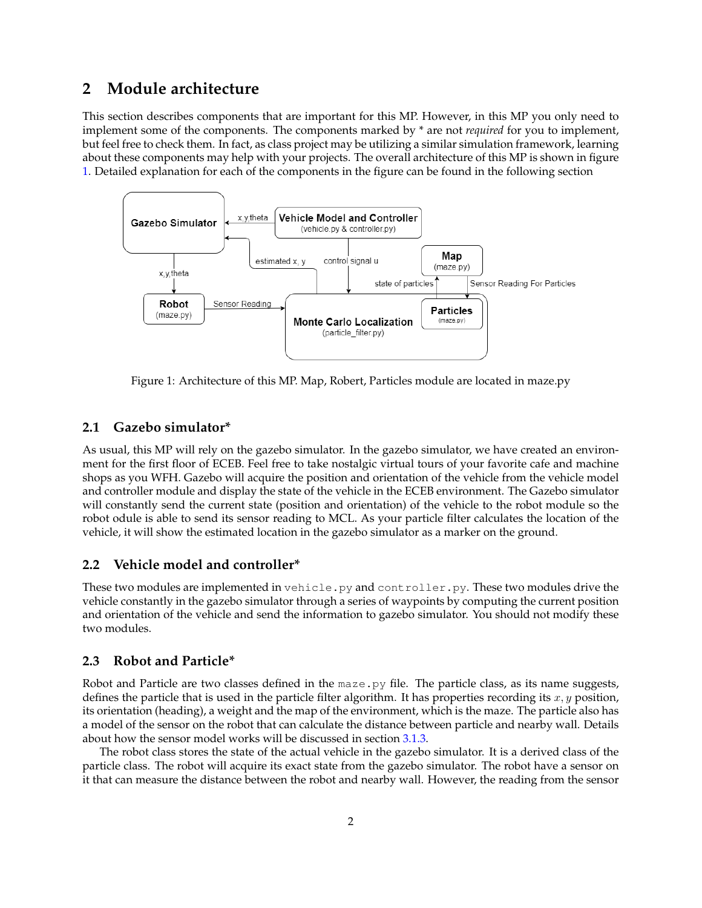## **2 Module architecture**

This section describes components that are important for this MP. However, in this MP you only need to implement some of the components. The components marked by \* are not *required* for you to implement, but feel free to check them. In fact, as class project may be utilizing a similar simulation framework, learning about these components may help with your projects. The overall architecture of this MP is shown in figure [1.](#page-1-0) Detailed explanation for each of the components in the figure can be found in the following section



<span id="page-1-0"></span>Figure 1: Architecture of this MP. Map, Robert, Particles module are located in maze.py

## **2.1 Gazebo simulator\***

As usual, this MP will rely on the gazebo simulator. In the gazebo simulator, we have created an environment for the first floor of ECEB. Feel free to take nostalgic virtual tours of your favorite cafe and machine shops as you WFH. Gazebo will acquire the position and orientation of the vehicle from the vehicle model and controller module and display the state of the vehicle in the ECEB environment. The Gazebo simulator will constantly send the current state (position and orientation) of the vehicle to the robot module so the robot odule is able to send its sensor reading to MCL. As your particle filter calculates the location of the vehicle, it will show the estimated location in the gazebo simulator as a marker on the ground.

## **2.2 Vehicle model and controller\***

These two modules are implemented in vehicle.py and controller.py. These two modules drive the vehicle constantly in the gazebo simulator through a series of waypoints by computing the current position and orientation of the vehicle and send the information to gazebo simulator. You should not modify these two modules.

## **2.3 Robot and Particle\***

Robot and Particle are two classes defined in the maze.py file. The particle class, as its name suggests, defines the particle that is used in the particle filter algorithm. It has properties recording its  $x, y$  position, its orientation (heading), a weight and the map of the environment, which is the maze. The particle also has a model of the sensor on the robot that can calculate the distance between particle and nearby wall. Details about how the sensor model works will be discussed in section [3.1.3.](#page-3-0)

The robot class stores the state of the actual vehicle in the gazebo simulator. It is a derived class of the particle class. The robot will acquire its exact state from the gazebo simulator. The robot have a sensor on it that can measure the distance between the robot and nearby wall. However, the reading from the sensor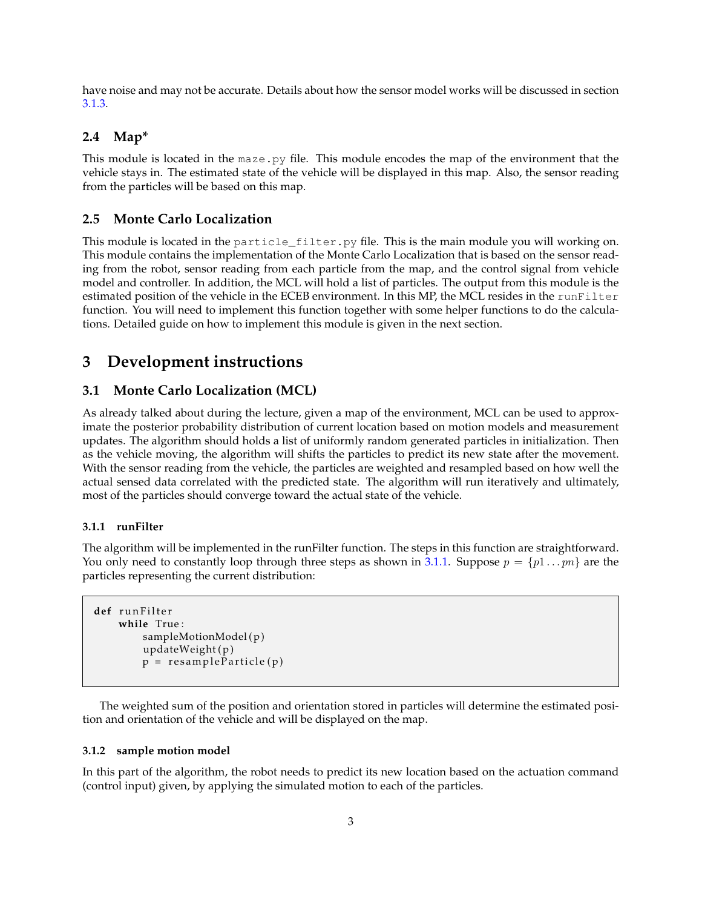have noise and may not be accurate. Details about how the sensor model works will be discussed in section [3.1.3.](#page-3-0)

## **2.4 Map\***

This module is located in the maze.py file. This module encodes the map of the environment that the vehicle stays in. The estimated state of the vehicle will be displayed in this map. Also, the sensor reading from the particles will be based on this map.

### **2.5 Monte Carlo Localization**

This module is located in the particle\_filter.py file. This is the main module you will working on. This module contains the implementation of the Monte Carlo Localization that is based on the sensor reading from the robot, sensor reading from each particle from the map, and the control signal from vehicle model and controller. In addition, the MCL will hold a list of particles. The output from this module is the estimated position of the vehicle in the ECEB environment. In this MP, the MCL resides in the runFilter function. You will need to implement this function together with some helper functions to do the calculations. Detailed guide on how to implement this module is given in the next section.

## **3 Development instructions**

### **3.1 Monte Carlo Localization (MCL)**

As already talked about during the lecture, given a map of the environment, MCL can be used to approximate the posterior probability distribution of current location based on motion models and measurement updates. The algorithm should holds a list of uniformly random generated particles in initialization. Then as the vehicle moving, the algorithm will shifts the particles to predict its new state after the movement. With the sensor reading from the vehicle, the particles are weighted and resampled based on how well the actual sensed data correlated with the predicted state. The algorithm will run iteratively and ultimately, most of the particles should converge toward the actual state of the vehicle.

#### <span id="page-2-0"></span>**3.1.1 runFilter**

The algorithm will be implemented in the runFilter function. The steps in this function are straightforward. You only need to constantly loop through three steps as shown in [3.1.1.](#page-2-0) Suppose  $p = \{p1 \dots pn\}$  are the particles representing the current distribution:

```
def r u n F i l t e r
    while True :
         sampleMotionModel(p)
         updateWeight(p)p = resampleParticle (p)
```
The weighted sum of the position and orientation stored in particles will determine the estimated position and orientation of the vehicle and will be displayed on the map.

#### **3.1.2 sample motion model**

In this part of the algorithm, the robot needs to predict its new location based on the actuation command (control input) given, by applying the simulated motion to each of the particles.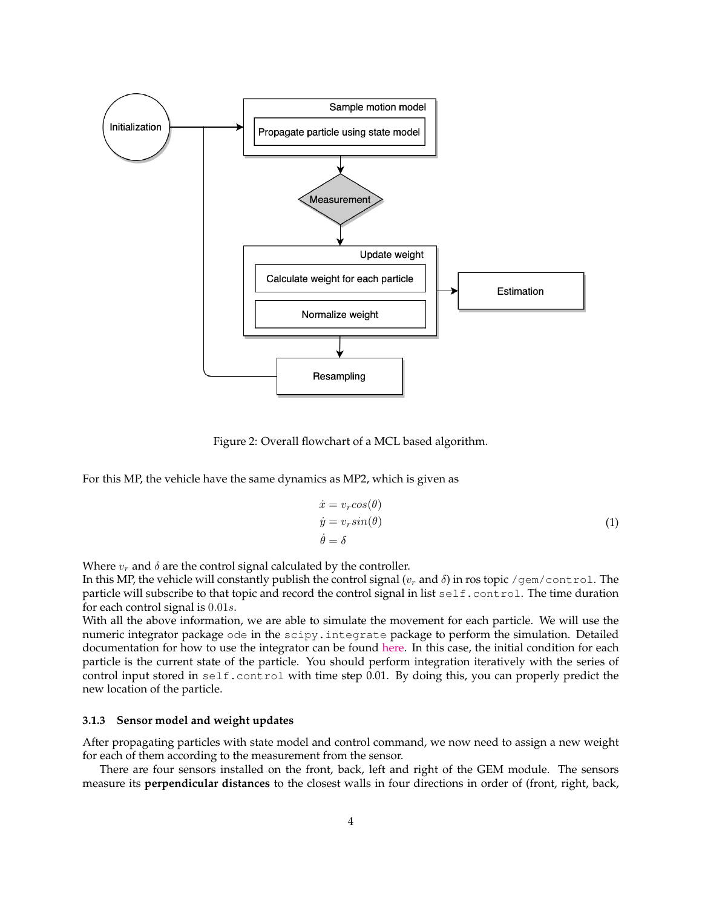

Figure 2: Overall flowchart of a MCL based algorithm.

For this MP, the vehicle have the same dynamics as MP2, which is given as

$$
\begin{aligned}\n\dot{x} &= v_r \cos(\theta) \\
\dot{y} &= v_r \sin(\theta) \\
\dot{\theta} &= \delta\n\end{aligned} \tag{1}
$$

Where  $v_r$  and  $\delta$  are the control signal calculated by the controller.

In this MP, the vehicle will constantly publish the control signal ( $v_r$  and  $\delta$ ) in ros topic /gem/control. The particle will subscribe to that topic and record the control signal in list self.control. The time duration for each control signal is 0.01s.

With all the above information, we are able to simulate the movement for each particle. We will use the numeric integrator package ode in the scipy.integrate package to perform the simulation. Detailed documentation for how to use the integrator can be found [here.](https://docs.scipy.org/doc/scipy/reference/generated/scipy.integrate.ode.html) In this case, the initial condition for each particle is the current state of the particle. You should perform integration iteratively with the series of control input stored in self.control with time step 0.01. By doing this, you can properly predict the new location of the particle.

#### <span id="page-3-0"></span>**3.1.3 Sensor model and weight updates**

After propagating particles with state model and control command, we now need to assign a new weight for each of them according to the measurement from the sensor.

There are four sensors installed on the front, back, left and right of the GEM module. The sensors measure its **perpendicular distances** to the closest walls in four directions in order of (front, right, back,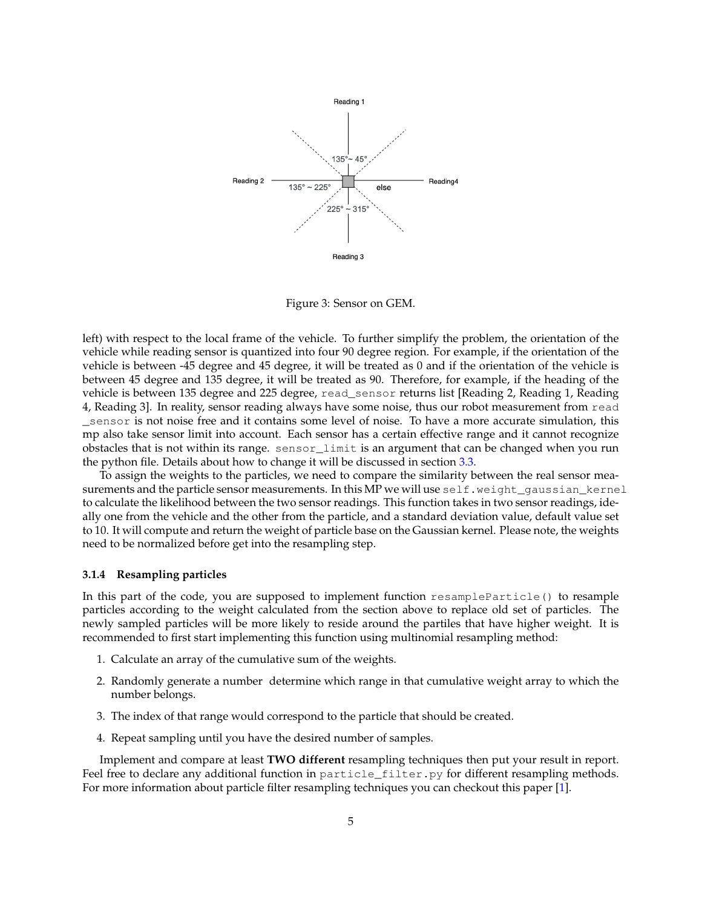

Figure 3: Sensor on GEM.

left) with respect to the local frame of the vehicle. To further simplify the problem, the orientation of the vehicle while reading sensor is quantized into four 90 degree region. For example, if the orientation of the vehicle is between -45 degree and 45 degree, it will be treated as 0 and if the orientation of the vehicle is between 45 degree and 135 degree, it will be treated as 90. Therefore, for example, if the heading of the vehicle is between 135 degree and 225 degree, read\_sensor returns list [Reading 2, Reading 1, Reading 4, Reading 3]. In reality, sensor reading always have some noise, thus our robot measurement from read \_sensor is not noise free and it contains some level of noise. To have a more accurate simulation, this mp also take sensor limit into account. Each sensor has a certain effective range and it cannot recognize obstacles that is not within its range. sensor\_limit is an argument that can be changed when you run the python file. Details about how to change it will be discussed in section [3.3.](#page-5-0)

To assign the weights to the particles, we need to compare the similarity between the real sensor measurements and the particle sensor measurements. In this MP we will use self.weight\_gaussian\_kernel to calculate the likelihood between the two sensor readings. This function takes in two sensor readings, ideally one from the vehicle and the other from the particle, and a standard deviation value, default value set to 10. It will compute and return the weight of particle base on the Gaussian kernel. Please note, the weights need to be normalized before get into the resampling step.

#### **3.1.4 Resampling particles**

In this part of the code, you are supposed to implement function resampleParticle() to resample particles according to the weight calculated from the section above to replace old set of particles. The newly sampled particles will be more likely to reside around the partiles that have higher weight. It is recommended to first start implementing this function using multinomial resampling method:

- 1. Calculate an array of the cumulative sum of the weights.
- 2. Randomly generate a number determine which range in that cumulative weight array to which the number belongs.
- 3. The index of that range would correspond to the particle that should be created.
- 4. Repeat sampling until you have the desired number of samples.

Implement and compare at least **TWO different** resampling techniques then put your result in report. Feel free to declare any additional function in particle\_filter.py for different resampling methods. For more information about particle filter resampling techniques you can checkout this paper [\[1\]](#page-7-0).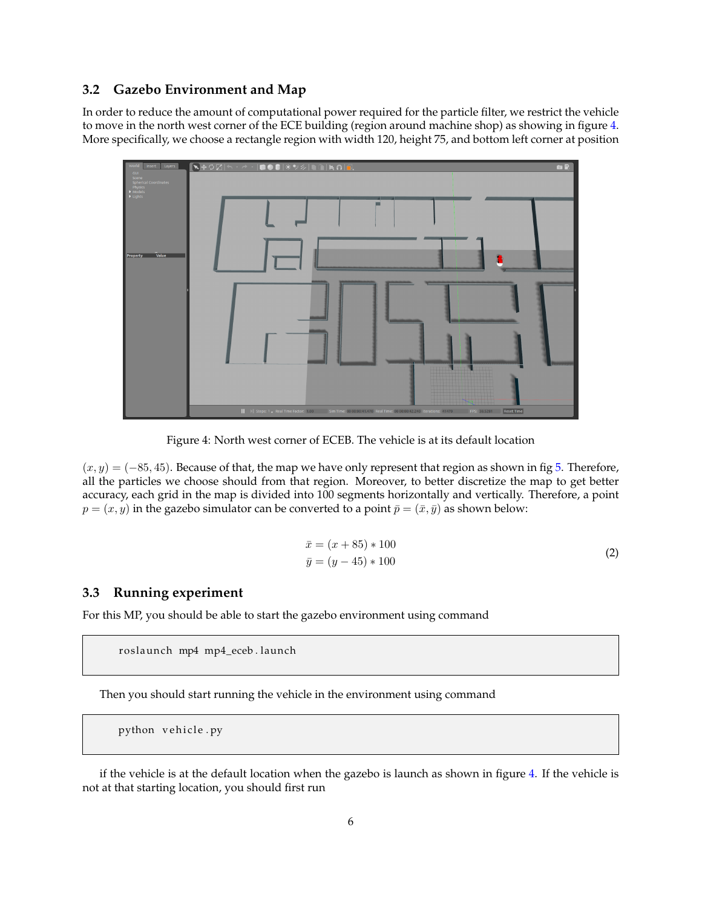### **3.2 Gazebo Environment and Map**

In order to reduce the amount of computational power required for the particle filter, we restrict the vehicle to move in the north west corner of the ECE building (region around machine shop) as showing in figure [4.](#page-5-1) More specifically, we choose a rectangle region with width 120, height 75, and bottom left corner at position



<span id="page-5-1"></span>Figure 4: North west corner of ECEB. The vehicle is at its default location

 $(x, y) = (-85, 45)$ . Because of that, the map we have only represent that region as shown in fig [5.](#page-6-0) Therefore, all the particles we choose should from that region. Moreover, to better discretize the map to get better accuracy, each grid in the map is divided into 100 segments horizontally and vertically. Therefore, a point  $p = (x, y)$  in the gazebo simulator can be converted to a point  $\bar{p} = (\bar{x}, \bar{y})$  as shown below:

$$
\bar{x} = (x + 85) * 100
$$
  
\n
$$
\bar{y} = (y - 45) * 100
$$
\n(2)

## <span id="page-5-0"></span>**3.3 Running experiment**

For this MP, you should be able to start the gazebo environment using command

roslaunch mp4 mp4\_eceb.launch

Then you should start running the vehicle in the environment using command

python vehicle.py

if the vehicle is at the default location when the gazebo is launch as shown in figure [4.](#page-5-1) If the vehicle is not at that starting location, you should first run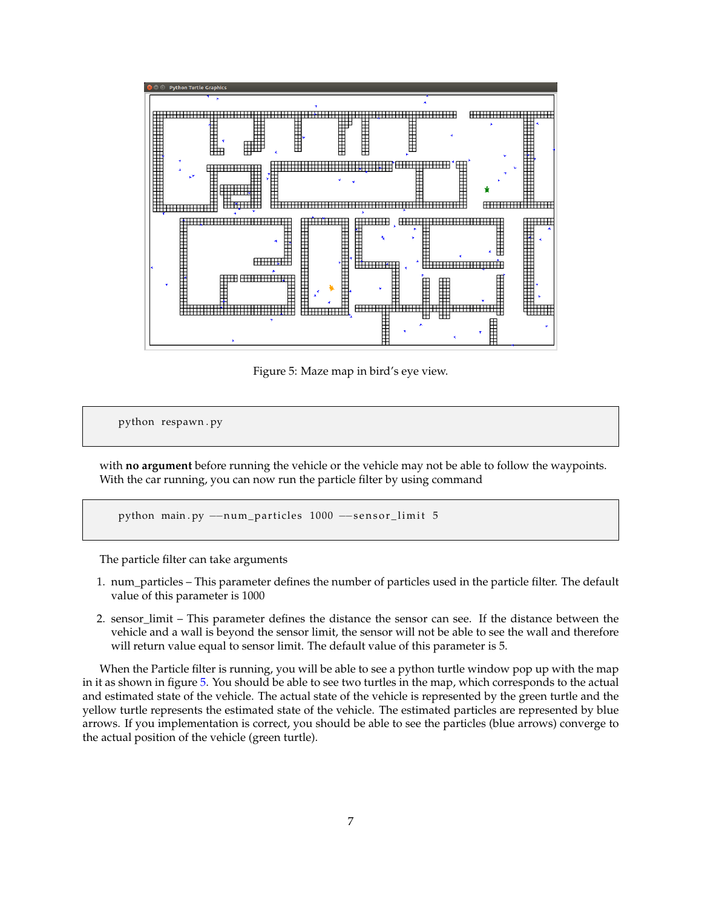

<span id="page-6-0"></span>Figure 5: Maze map in bird's eye view.

python respawn . py

with **no argument** before running the vehicle or the vehicle may not be able to follow the waypoints. With the car running, you can now run the particle filter by using command

python main.py --num\_particles 1000 --sensor\_limit 5

The particle filter can take arguments

- 1. num\_particles This parameter defines the number of particles used in the particle filter. The default value of this parameter is 1000
- 2. sensor\_limit This parameter defines the distance the sensor can see. If the distance between the vehicle and a wall is beyond the sensor limit, the sensor will not be able to see the wall and therefore will return value equal to sensor limit. The default value of this parameter is 5.

When the Particle filter is running, you will be able to see a python turtle window pop up with the map in it as shown in figure [5.](#page-6-0) You should be able to see two turtles in the map, which corresponds to the actual and estimated state of the vehicle. The actual state of the vehicle is represented by the green turtle and the yellow turtle represents the estimated state of the vehicle. The estimated particles are represented by blue arrows. If you implementation is correct, you should be able to see the particles (blue arrows) converge to the actual position of the vehicle (green turtle).